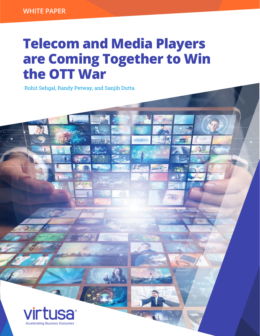# **Telecom and Media Players are Coming Together to Win the OTT War**

Rohit Sehgal, Randy Petway, and Sanjib Dutta

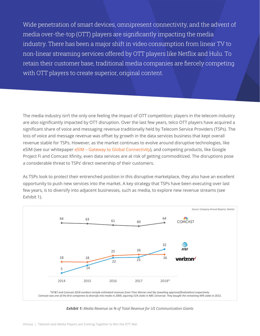Wide penetration of smart devices, omnipresent connectivity, and the advent of media over-the-top (OTT) players are significantly impacting the media industry. There has been a major shift in video consumption from linear TV to non-linear streaming services offered by OTT players like Netflix and Hulu. To retain their customer base, traditional media companies are fiercely competing with OTT players to create superior, original content.

The media industry isn't the only one feeling the impact of OTT competition; players in the telecom industry are also significantly impacted by OTT disruption. Over the last few years, telco OTT players have acquired a significant share of voice and messaging revenue traditionally held by Telecom Service Providers (TSPs). The loss of voice and message revenue was offset by growth in the data services business that kept overall revenue stable for TSPs. However, as the market continues to evolve around disruptive technologies, like eSIM (see our whitepaper [eSIM – Gateway to Global Connectivity\)](https://www.virtusa.com/perspective/esim-gateway-global-connectivity/), and competing products, like Google Project Fi and Comcast Xfinity, even data services are at risk of getting commoditized. The disruptions pose a considerable threat to TSPs' direct ownership of their customers.

As TSPs look to protect their entrenched position in this disruptive marketplace, they also have an excellent opportunity to push new services into the market. A key strategy that TSPs have been executing over last few years, is to diversify into adjacent businesses, such as media, to explore new revenue streams (see Exhibit 1).



*Exhibit 1: Media Revenue as % of Total Revenue for US Communication Giants*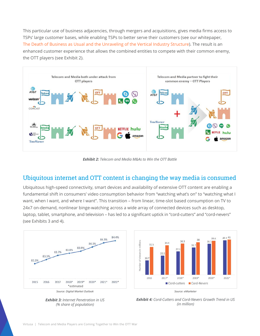This particular use of business adjacencies, through mergers and acquisitions, gives media firms access to TSPs' large customer bases, while enabling TSPs to better serve their customers (see our whitepaper, [The Death of Business as Usual and the Unraveling of the Vertical Industry Structure](https://www.virtusa.com/perspective/the-death-of-business-as-usual/)). The result is an enhanced customer experience that allows the combined entities to compete with their common enemy, the OTT players (see Exhibit 2).



*Exhibit 2: Telecom and Media M&As to Win the OTT Battle*

#### Ubiquitous internet and OTT content is changing the way media is consumed

Ubiquitous high-speed connectivity, smart devices and availability of extensive OTT content are enabling a fundamental shift in consumers' video consumption behavior from "watching what's on" to "watching what I want, when I want, and where I want". This transition – from linear, time-slot based consumption on TV to 24x7 on-demand, nonlinear binge-watching across a wide array of connected devices such as desktop, laptop, tablet, smartphone, and television – has led to a significant uptick in "cord-cutters" and "cord-nevers" (see Exhibits 3 and 4).







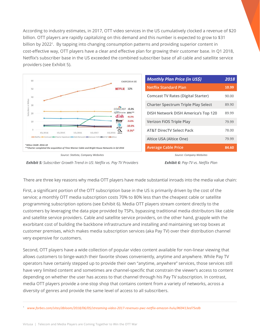According to industry estimates, in 2017, OTT video services in the US cumulatively clocked a revenue of \$20 billion. OTT players are rapidly capitalizing on this demand and this number is expected to grow to \$31 billion by 2022<sup>1</sup>. By tapping into changing consumption patterns and providing superior content in cost-effective way, OTT players have a clear and effective plan for growing their customer base. In Q1 2018, Netflix's subscriber base in the US exceeded the combined subscriber base of all cable and satellite service providers (see Exhibit 5).



| <b>Monthly Plan Price (in US\$)</b>        | 2018  |
|--------------------------------------------|-------|
| <b>Netflix Standard Plan</b>               | 10.99 |
| <b>Comcast TV Rates (Digital Starter)</b>  | 90.00 |
| <b>Charter Spectrum Triple Play Select</b> | 89.90 |
| DISH Network DISH America's Top 120        | 89.99 |
| Verizon FiOS Triple Play                   | 79.99 |
| <b>AT&amp;T DirecTV Select Pack</b>        | 78.00 |
| Altice USA (Altice One)                    | 79.99 |
| <b>Average Cable Price</b>                 | 84.60 |

*Source: Statista, Company Websites*

*Source: Company Websites Exhibit 6: Pay-TV vs. Netflix Plan*

*Exhibit 5: Subscriber Growth Trend in US: Netflix vs. Pay TV Providers*

There are three key reasons why media OTT players have made substantial inroads into the media value chain:

First, a significant portion of the OTT subscription base in the US is primarily driven by the cost of the service; a monthly OTT media subscription costs 70% to 80% less than the cheapest cable or satellite programming subscription options (see Exhibit 6). Media OTT players stream content directly to the customers by leveraging the data pipe provided by TSPs, bypassing traditional media distributors like cable and satellite service providers. Cable and satellite service providers, on the other hand, grapple with the exorbitant cost of building the backbone infrastructure and installing and maintaining set-top boxes at customer premises, which makes media subscription services (aka Pay TV) over their distribution channel very expensive for customers.

Second, OTT players have a wide collection of popular video content available for non-linear viewing that allows customers to binge-watch their favorite shows conveniently, anytime and anywhere. While Pay TV operators have certainly stepped up to provide their own "anytime, anywhere" services, those services still have very limited content and sometimes are channel-specific that constrain the viewer's access to content depending on whether the user has access to that channel through his Pay TV subscription. In contrast, media OTT players provide a one-stop shop that contains content from a variety of networks, across a diversity of genres and provide the same level of access to all subscribers.

<sup>1</sup>*www.forbes.com/sites/dbloom/2018/06/05/streaming-video-2017-revenues-pwc-netflix-amazon-hulu/#69413ed75edb*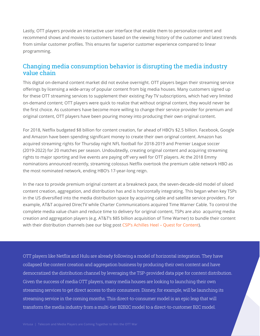Lastly, OTT players provide an interactive user interface that enable them to personalize content and recommend shows and movies to customers based on the viewing history of the customer and latest trends from similar customer profiles. This ensures far superior customer experience compared to linear programming.

## Changing media consumption behavior is disrupting the media industry value chain

This digital on-demand content market did not evolve overnight. OTT players began their streaming service offerings by licensing a wide-array of popular content from big media houses. Many customers signed up for these OTT streaming services to supplement their existing Pay TV subscriptions, which had very limited on-demand content; OTT players were quick to realize that without original content, they would never be the first choice. As customers have become more willing to change their service provider for premium and original content, OTT players have been pouring money into producing their own original content.

For 2018, Netflix budgeted \$8 billion for content creation, far ahead of HBO's \$2.5 billion. Facebook, Google and Amazon have been spending significant money to create their own original content. Amazon has acquired streaming rights for Thursday night NFL football for 2018-2019 and Premier League soccer (2019-2022) for 20 matches per season. Undoubtedly, creating original content and acquiring streaming rights to major sporting and live events are paying off very well for OTT players. At the 2018 Emmy nominations announced recently, streaming colossus Netflix overtook the premium cable network HBO as the most nominated network, ending HBO's 17-year-long reign.

In the race to provide premium original content at a breakneck pace, the seven-decade-old model of siloed content creation, aggregation, and distribution has and is horizontally integrating. This began when key TSPs in the US diversified into the media distribution space by acquiring cable and satellite service providers. For example, AT&T acquired DirecTV while Charter Communications acquired Time Warner Cable. To control the complete media value chain and reduce time to delivery for original content, TSPs are also acquiring media creation and aggregation players (e.g. AT&T's \$85 billion acquisition of Time Warner) to bundle their content with their distribution channels (see our blog post CSP's Achilles Heel - Quest for Content).

OTT players like Netflix and Hulu are already following a model of horizontal integration. They have collapsed the content creation and aggregation business by producing their own content and have democratized the distribution channel by leveraging the TSP-provided data pipe for content distribution. Given the success of media OTT players, many media houses are looking to launching their own streaming services to get direct access to their consumers. Disney, for example, will be launching its streaming service in the coming months. This direct-to-consumer model is an epic leap that will transform the media industry from a multi-tier B2B2C model to a direct-to-customer B2C model.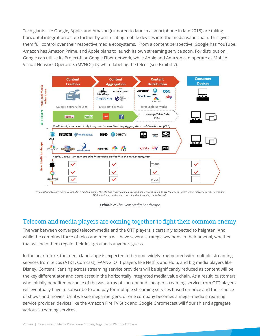Tech giants like Google, Apple, and Amazon (rumored to launch a smartphone in late 2018) are taking horizontal integration a step further by assimilating mobile devices into the media value chain. This gives them full control over their respective media ecosystems. From a content perspective, Google has YouTube, Amazon has Amazon Prime, and Apple plans to launch its own streaming service soon. For distribution, Google can utilize its Project-fi or Google Fiber network, while Apple and Amazon can operate as Mobile Virtual Network Operators (MVNOs) by white-labeling the telcos (see Exhibit 7).



*\*Comcast and Fox are currently locked in a bidding war for Sky. Sky had earlier planned to launch its service through its Sky Q platform, which would allow viewers to access pay TV channels and on-demand content without needing a satellite dish.*



## Telecom and media players are coming together to fight their common enemy

The war between converged telecom-media and the OTT players is certainly expected to heighten. And while the combined force of telco and media will have several strategic weapons in their arsenal, whether that will help them regain their lost ground is anyone's guess.

In the near future, the media landscape is expected to become widely fragmented with multiple streaming services from telcos (AT&T, Comcast), FAANG, OTT players like Netflix and Hulu, and big media players like Disney. Content licensing across streaming service providers will be significantly reduced as content will be the key differentiator and core asset in the horizontally integrated media value chain. As a result, customers, who initially benefited because of the vast array of content and cheaper streaming service from OTT players, will eventually have to subscribe to and pay for multiple streaming services based on price and their choice of shows and movies. Until we see mega-mergers, or one company becomes a mega–media streaming service provider, devices like the Amazon Fire TV Stick and Google Chromecast will flourish and aggregate various streaming services.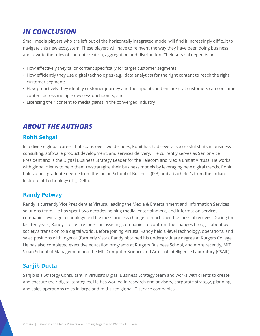## *IN CONCLUSION*

Small media players who are left out of the horizontally integrated model will find it increasingly difficult to navigate this new ecosystem. These players will have to reinvent the way they have been doing business and rewrite the rules of content creation, aggregation and distribution. Their survival depends on:

- How effectively they tailor content specifically for target customer segments;
- How efficiently they use digital technologies (e.g., data analytics) for the right content to reach the right customer segment;
- How proactively they identify customer journey and touchpoints and ensure that customers can consume content across multiple devices/touchpoints; and
- Licensing their content to media giants in the converged industry

## *ABOUT THE AUTHORS*

### **Rohit Sehgal**

In a diverse global career that spans over two decades, Rohit has had several successful stints in business consulting, software product development, and services delivery. He currently serves as Senior Vice President and is the Digital Business Strategy Leader for the Telecom and Media unit at Virtusa. He works with global clients to help them re-strategize their business models by leveraging new digital trends. Rohit holds a postgraduate degree from the Indian School of Business (ISB) and a bachelor's from the Indian Institute of Technology (IIT), Delhi.

#### **Randy Petway**

Randy is currently Vice President at Virtusa, leading the Media & Entertainment and Information Services solutions team. He has spent two decades helping media, entertainment, and information services companies leverage technology and business process change to reach their business objectives. During the last ten years, Randy's focus has been on assisting companies to confront the changes brought about by society's transition to a digital world. Before joining Virtusa, Randy held C-level technology, operations, and sales positions with Ingenta (formerly Vista). Randy obtained his undergraduate degree at Rutgers College. He has also completed executive education programs at Rutgers Business School, and more recently, MIT Sloan School of Management and the MIT Computer Science and Artificial Intelligence Laboratory (CSAIL).

#### **Sanjib Dutta**

Sanjib is a Strategy Consultant in Virtusa's Digital Business Strategy team and works with clients to create and execute their digital strategies. He has worked in research and advisory, corporate strategy, planning, and sales operations roles in large and mid-sized global IT service companies.